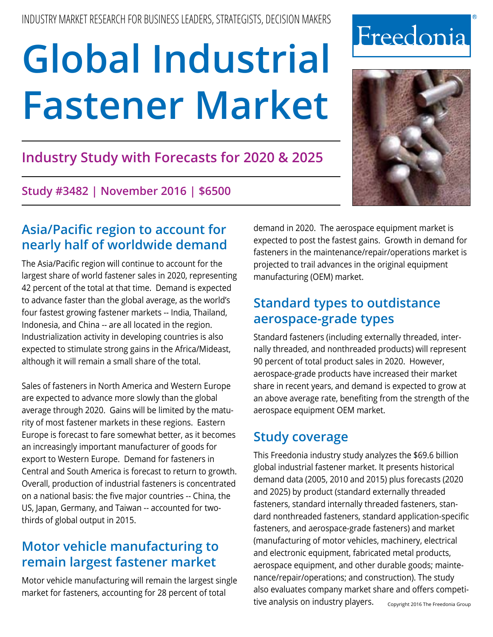# **Industry Study with Forecasts for 2020 & 2025**

**Study #3482 | November 2016 | \$6500**

# **Asia/Pacific region to account for nearly half of worldwide demand**

The Asia/Pacific region will continue to account for the largest share of world fastener sales in 2020, representing 42 percent of the total at that time. Demand is expected to advance faster than the global average, as the world's four fastest growing fastener markets -- India, Thailand, Indonesia, and China -- are all located in the region. Industrialization activity in developing countries is also expected to stimulate strong gains in the Africa/Mideast, although it will remain a small share of the total.

Sales of fasteners in North America and Western Europe are expected to advance more slowly than the global average through 2020. Gains will be limited by the maturity of most fastener markets in these regions. Eastern Europe is forecast to fare somewhat better, as it becomes an increasingly important manufacturer of goods for export to Western Europe. Demand for fasteners in Central and South America is forecast to return to growth. Overall, production of industrial fasteners is concentrated on a national basis: the five major countries -- China, the US, Japan, Germany, and Taiwan -- accounted for twothirds of global output in 2015.

# **Motor vehicle manufacturing to remain largest fastener market**

Motor vehicle manufacturing will remain the largest single market for fasteners, accounting for 28 percent of total

demand in 2020. The aerospace equipment market is expected to post the fastest gains. Growth in demand for fasteners in the maintenance/repair/operations market is projected to trail advances in the original equipment manufacturing (OEM) market.

# **Standard types to outdistance aerospace-grade types**

Standard fasteners (including externally threaded, internally threaded, and nonthreaded products) will represent 90 percent of total product sales in 2020. However, aerospace-grade products have increased their market share in recent years, and demand is expected to grow at an above average rate, benefiting from the strength of the aerospace equipment OEM market.

# **Study coverage**

This Freedonia industry study analyzes the \$69.6 billion global industrial fastener market. It presents historical demand data (2005, 2010 and 2015) plus forecasts (2020 and 2025) by product (standard externally threaded fasteners, standard internally threaded fasteners, standard nonthreaded fasteners, standard application-specific fasteners, and aerospace-grade fasteners) and market (manufacturing of motor vehicles, machinery, electrical and electronic equipment, fabricated metal products, aerospace equipment, and other durable goods; maintenance/repair/operations; and construction). The study also evaluates company market share and offers competitive analysis on industry players. Copyright 2016 The Freedonia Group



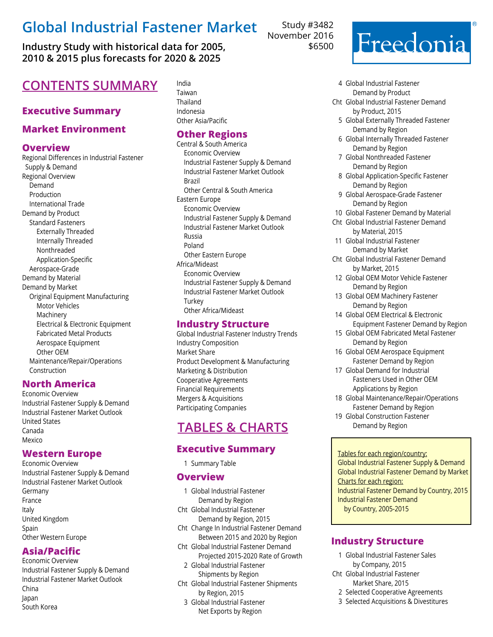**Industry Study with historical data for 2005, 2010 & 2015 plus forecasts for 2020 & 2025**

# **CONTENTS SUMMARY** India

## **Executive Summary**

## **Market Environment**

#### **Overview**

Regional Differences in Industrial Fastener Supply & Demand Regional Overview Demand Production International Trade Demand by Product Standard Fasteners Externally Threaded Internally Threaded Nonthreaded Application-Specific Aerospace-Grade Demand by Material Demand by Market Original Equipment Manufacturing Motor Vehicles Machinery Electrical & Electronic Equipment Fabricated Metal Products Aerospace Equipment Other OEM Maintenance/Repair/Operations Construction

#### **North America**

Economic Overview Industrial Fastener Supply & Demand Industrial Fastener Market Outlook United States Canada Mexico

#### **Western Europe**

Economic Overview Industrial Fastener Supply & Demand Industrial Fastener Market Outlook Germany France Italy United Kingdom **Spain** Other Western Europe

## **Asia/Pacific**

Economic Overview Industrial Fastener Supply & Demand Industrial Fastener Market Outlook China Japan South Korea

Taiwan Thailand Indonesia Other Asia/Pacific

## **Other Regions**

Central & South America Economic Overview Industrial Fastener Supply & Demand Industrial Fastener Market Outlook Brazil Other Central & South America Eastern Europe Economic Overview Industrial Fastener Supply & Demand Industrial Fastener Market Outlook Russia Poland Other Eastern Europe Africa/Mideast Economic Overview Industrial Fastener Supply & Demand Industrial Fastener Market Outlook **Turkey** Other Africa/Mideast

### **Industry Structure**

Global Industrial Fastener Industry Trends Industry Composition Market Share Product Development & Manufacturing Marketing & Distribution Cooperative Agreements Financial Requirements Mergers & Acquisitions Participating Companies

# **Tables & Charts**

# **Executive Summary**

1 Summary Table

#### **Overview**

- 1 Global Industrial Fastener Demand by Region
- Cht Global Industrial Fastener Demand by Region, 2015
- Cht Change In Industrial Fastener Demand Between 2015 and 2020 by Region
- Cht Global Industrial Fastener Demand Projected 2015-2020 Rate of Growth
- 2 Global Industrial Fastener Shipments by Region
- Cht Global Industrial Fastener Shipments by Region, 2015
	- 3 Global Industrial Fastener Net Exports by Region

Study #3482 November 2016 \$6500

# Freedonia

- 4 Global Industrial Fastener Demand by Product
- Cht Global Industrial Fastener Demand by Product, 2015
	- 5 Global Externally Threaded Fastener Demand by Region
	- 6 Global Internally Threaded Fastener Demand by Region
	- 7 Global Nonthreaded Fastener Demand by Region
	- 8 Global Application-Specific Fastener Demand by Region
	- 9 Global Aerospace-Grade Fastener Demand by Region
- 10 Global Fastener Demand by Material
- Cht Global Industrial Fastener Demand by Material, 2015
- 11 Global Industrial Fastener Demand by Market
- Cht Global Industrial Fastener Demand by Market, 2015
- 12 Global OEM Motor Vehicle Fastener Demand by Region
- 13 Global OEM Machinery Fastener Demand by Region
- 14 Global OEM Electrical & Electronic Equipment Fastener Demand by Region
- 15 Global OEM Fabricated Metal Fastener Demand by Region
- 16 Global OEM Aerospace Equipment Fastener Demand by Region
- 17 Global Demand for Industrial Fasteners Used in Other OEM Applications by Region
- 18 Global Maintenance/Repair/Operations Fastener Demand by Region
- 19 Global Construction Fastener Demand by Region

#### Tables for each region/country:

Global Industrial Fastener Supply & Demand Global Industrial Fastener Demand by Market Charts for each region: Industrial Fastener Demand by Country, 2015 Industrial Fastener Demand by Country, 2005-2015

#### **Industry Structure**

- 1 Global Industrial Fastener Sales by Company, 2015
- Cht Global Industrial Fastener Market Share, 2015
	- 2 Selected Cooperative Agreements
	- 3 Selected Acquisitions & Divestitures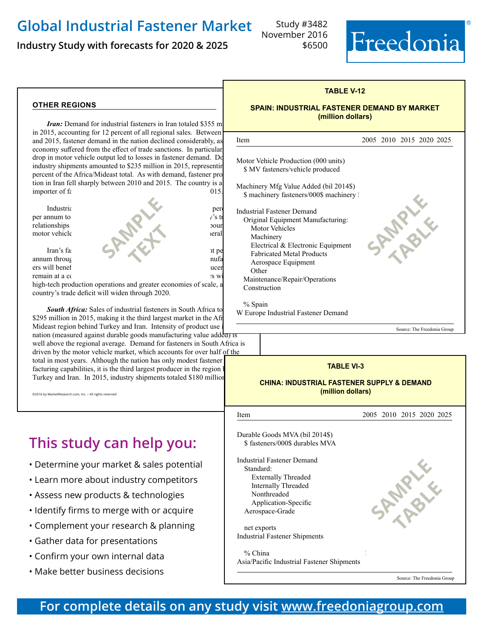**Industry Study with forecasts for 2020 & 2025**

Study #3482 November 2016 \$6500



#### **other regions**

*Iran:* Demand for industrial fasteners in Iran totaled \$355 m in 2015, accounting for 12 percent of all regional sales. Between and 2015, fastener demand in the nation declined considerably, as economy suffered from the effect of trade sanctions. In particular, drop in motor vehicle output led to losses in fastener demand. Do industry shipments amounted to \$235 million in 2015, representing percent of the Africa/Mideast total. As with demand, fastener pro tion in Iran fell sharply between 2010 and 2015. The country is a  $\frac{1}{20}$  importer of  $\frac{1}{20}$ 



remain at a competitive disadvantage to large foreign suppliers with suppliers with  $\sim$ 

high-tech production operations and greater economies of scale, and the country's trade deficit will widen through 2020.

South Africa: Sales of industrial fasteners in South Africa to \$295 million in 2015, making it the third largest market in the Afr Mideast region behind Turkey and Iran. Intensity of product use nation (measured against durable goods manufacturing value added) well above the regional average. Demand for fasteners in South Africa is driven by the motor vehicle market, which accounts for over half of the total in most years. Although the nation has only modest fastener facturing capabilities, it is the third largest producer in the region b Turkey and Iran. In 2015, industry shipments totaled \$180 million,

©2016 by MarketResearch.com, Inc. - All rights reserved

# **This study can help you:**

- Determine your market & sales potential
- Learn more about industry competitors
- Assess new products & technologies
- Identify firms to merge with or acquire
- Complement your research & planning
- Gather data for presentations
- Confirm your own internal data
- Make better business decisions

#### **TABLE V-12**

#### **SPAIN: INDUSTRIAL FASTENER DEMAND BY MARKET (million dollars)**

| <b>Item</b>                                                                                                                                                                                                                                              | 2005 2010 2015 2020 2025    |
|----------------------------------------------------------------------------------------------------------------------------------------------------------------------------------------------------------------------------------------------------------|-----------------------------|
| Motor Vehicle Production (000 units)<br>\$ MV fasteners/vehicle produced                                                                                                                                                                                 |                             |
| Machinery Mfg Value Added (bil 2014\$)<br>\$ machinery fasteners/000\$ machinery 1                                                                                                                                                                       |                             |
| Industrial Fastener Demand<br>Original Equipment Manufacturing:<br>Motor Vehicles<br>Machinery<br>Electrical & Electronic Equipment<br><b>Fabricated Metal Products</b><br>Aerospace Equipment<br>Other<br>Maintenance/Repair/Operations<br>Construction |                             |
| % Spain<br>W Europe Industrial Fastener Demand                                                                                                                                                                                                           |                             |
|                                                                                                                                                                                                                                                          | Source: The Freedonia Group |
| <sup>1</sup> S                                                                                                                                                                                                                                           |                             |

#### **TABLE VI-3**

#### **CHINA: INDUSTRIAL FASTENER SUPPLY & DEMAND (million dollars)**

֦ Item 2005 2010 2015 2020 2025 Durable Goods MVA (bil 2014\$)  $$$ fasteners/000\$ durables MVA Industrial Fastener Demand 8550 108501895014650189501465018950146501895014650189501465018950146501895014650189 Standard: 8330 104601405018100 Externally Threaded 4700 5830 5830 7760 5830 7760 5830 7760 5830 7750 98450 7760 7760 7760 7760 7760 7760 7760 98450 7760 77750 77750 77750 77750 77750 77750 77750 77750 77750 77750 77750 77750 77750 77750 77750 77750 7775 Internally Threaded 510 1395 1775 2440 3185 Nonthreaded 725 1975 2500 3360 4370 Application-Specific 75 260 355 500 700 Aerospace-Grade 85 220 390 600 850 net exports 790 1020 1760 2450 3250 Industrial Fastener Shipments  $\%$  China 19.5 30.9 36.8  $\frac{1}{2}$ . Asia/Pacific Industrial Fastener Shipments **SAMPLE table** 

Source: The Freedonia Group

## **For complete details on any study visit [www.freedoniagroup.com](http://www.freedoniagroup.com/Home.aspx?ReferrerId=FM-BRO)**